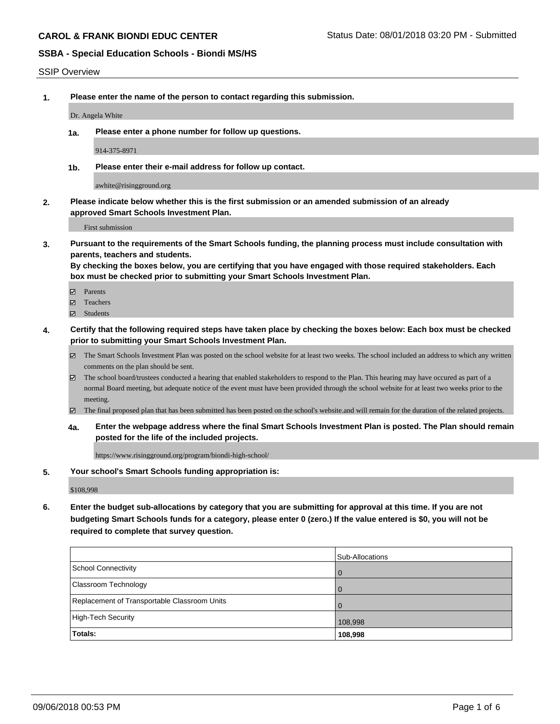#### SSIP Overview

**1. Please enter the name of the person to contact regarding this submission.**

Dr. Angela White

**1a. Please enter a phone number for follow up questions.**

914-375-8971

**1b. Please enter their e-mail address for follow up contact.**

awhite@risingground.org

**2. Please indicate below whether this is the first submission or an amended submission of an already approved Smart Schools Investment Plan.**

First submission

**3. Pursuant to the requirements of the Smart Schools funding, the planning process must include consultation with parents, teachers and students.**

**By checking the boxes below, you are certifying that you have engaged with those required stakeholders. Each box must be checked prior to submitting your Smart Schools Investment Plan.**

- Parents
- Teachers
- Students
- **4. Certify that the following required steps have taken place by checking the boxes below: Each box must be checked prior to submitting your Smart Schools Investment Plan.**
	- The Smart Schools Investment Plan was posted on the school website for at least two weeks. The school included an address to which any written comments on the plan should be sent.
	- The school board/trustees conducted a hearing that enabled stakeholders to respond to the Plan. This hearing may have occured as part of a normal Board meeting, but adequate notice of the event must have been provided through the school website for at least two weeks prior to the meeting.
	- The final proposed plan that has been submitted has been posted on the school's website.and will remain for the duration of the related projects.
	- **4a. Enter the webpage address where the final Smart Schools Investment Plan is posted. The Plan should remain posted for the life of the included projects.**

https://www.risingground.org/program/biondi-high-school/

#### **5. Your school's Smart Schools funding appropriation is:**

\$108,998

**6. Enter the budget sub-allocations by category that you are submitting for approval at this time. If you are not budgeting Smart Schools funds for a category, please enter 0 (zero.) If the value entered is \$0, you will not be required to complete that survey question.**

|                                              | Sub-Allocations |
|----------------------------------------------|-----------------|
| School Connectivity                          | $\overline{0}$  |
| <b>Classroom Technology</b>                  | $\overline{0}$  |
| Replacement of Transportable Classroom Units | $\overline{0}$  |
| High-Tech Security                           | 108,998         |
| Totals:                                      | 108,998         |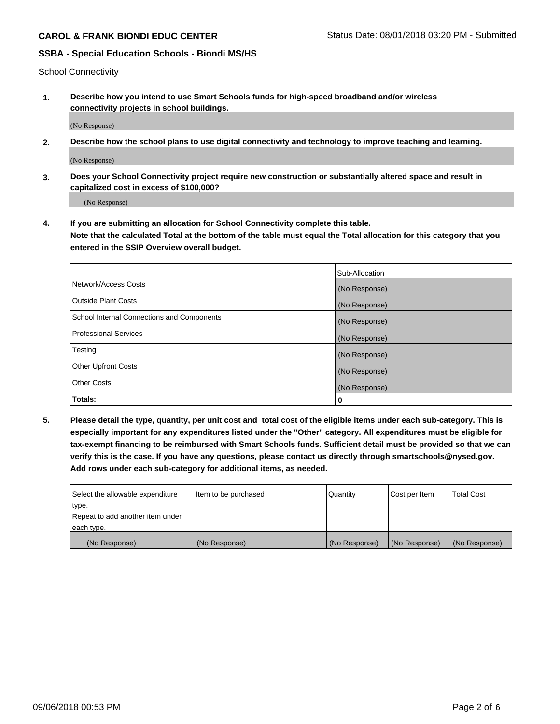School Connectivity

**1. Describe how you intend to use Smart Schools funds for high-speed broadband and/or wireless connectivity projects in school buildings.**

(No Response)

**2. Describe how the school plans to use digital connectivity and technology to improve teaching and learning.**

(No Response)

**3. Does your School Connectivity project require new construction or substantially altered space and result in capitalized cost in excess of \$100,000?**

(No Response)

**4. If you are submitting an allocation for School Connectivity complete this table. Note that the calculated Total at the bottom of the table must equal the Total allocation for this category that you entered in the SSIP Overview overall budget.** 

|                                            | Sub-Allocation |
|--------------------------------------------|----------------|
| Network/Access Costs                       | (No Response)  |
| <b>Outside Plant Costs</b>                 | (No Response)  |
| School Internal Connections and Components | (No Response)  |
| <b>Professional Services</b>               | (No Response)  |
| Testing                                    | (No Response)  |
| <b>Other Upfront Costs</b>                 | (No Response)  |
| <b>Other Costs</b>                         | (No Response)  |
| Totals:                                    | 0              |

**5. Please detail the type, quantity, per unit cost and total cost of the eligible items under each sub-category. This is especially important for any expenditures listed under the "Other" category. All expenditures must be eligible for tax-exempt financing to be reimbursed with Smart Schools funds. Sufficient detail must be provided so that we can verify this is the case. If you have any questions, please contact us directly through smartschools@nysed.gov. Add rows under each sub-category for additional items, as needed.**

| each type.<br>(No Response)      | (No Response)          | (No Response) | (No Response) | (No Response)     |
|----------------------------------|------------------------|---------------|---------------|-------------------|
|                                  |                        |               |               |                   |
| Repeat to add another item under |                        |               |               |                   |
| ∣type.                           |                        |               |               |                   |
| Select the allowable expenditure | I Item to be purchased | Quantity      | Cost per Item | <b>Total Cost</b> |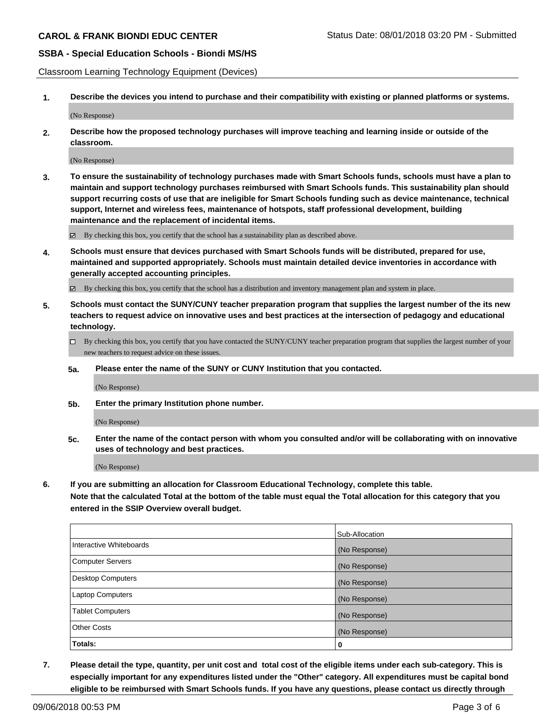Classroom Learning Technology Equipment (Devices)

**1. Describe the devices you intend to purchase and their compatibility with existing or planned platforms or systems.**

(No Response)

**2. Describe how the proposed technology purchases will improve teaching and learning inside or outside of the classroom.**

(No Response)

**3. To ensure the sustainability of technology purchases made with Smart Schools funds, schools must have a plan to maintain and support technology purchases reimbursed with Smart Schools funds. This sustainability plan should support recurring costs of use that are ineligible for Smart Schools funding such as device maintenance, technical support, Internet and wireless fees, maintenance of hotspots, staff professional development, building maintenance and the replacement of incidental items.**

By checking this box, you certify that the school has a sustainability plan as described above.

**4. Schools must ensure that devices purchased with Smart Schools funds will be distributed, prepared for use, maintained and supported appropriately. Schools must maintain detailed device inventories in accordance with generally accepted accounting principles.**

By checking this box, you certify that the school has a distribution and inventory management plan and system in place.

- **5. Schools must contact the SUNY/CUNY teacher preparation program that supplies the largest number of the its new teachers to request advice on innovative uses and best practices at the intersection of pedagogy and educational technology.**
	- By checking this box, you certify that you have contacted the SUNY/CUNY teacher preparation program that supplies the largest number of your new teachers to request advice on these issues.
	- **5a. Please enter the name of the SUNY or CUNY Institution that you contacted.**

(No Response)

**5b. Enter the primary Institution phone number.**

(No Response)

**5c. Enter the name of the contact person with whom you consulted and/or will be collaborating with on innovative uses of technology and best practices.**

(No Response)

**6. If you are submitting an allocation for Classroom Educational Technology, complete this table.**

**Note that the calculated Total at the bottom of the table must equal the Total allocation for this category that you entered in the SSIP Overview overall budget.**

|                          | Sub-Allocation |
|--------------------------|----------------|
| Interactive Whiteboards  | (No Response)  |
| <b>Computer Servers</b>  | (No Response)  |
| <b>Desktop Computers</b> | (No Response)  |
| <b>Laptop Computers</b>  | (No Response)  |
| <b>Tablet Computers</b>  | (No Response)  |
| <b>Other Costs</b>       | (No Response)  |
| Totals:                  | 0              |

**7. Please detail the type, quantity, per unit cost and total cost of the eligible items under each sub-category. This is especially important for any expenditures listed under the "Other" category. All expenditures must be capital bond eligible to be reimbursed with Smart Schools funds. If you have any questions, please contact us directly through**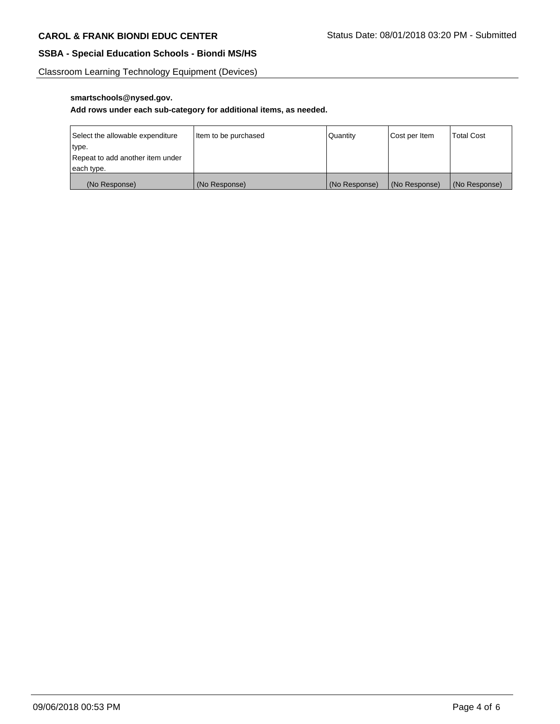Classroom Learning Technology Equipment (Devices)

## **smartschools@nysed.gov.**

### **Add rows under each sub-category for additional items, as needed.**

| Select the allowable expenditure | Item to be purchased | Quantity      | Cost per Item | <b>Total Cost</b> |
|----------------------------------|----------------------|---------------|---------------|-------------------|
| type.                            |                      |               |               |                   |
| Repeat to add another item under |                      |               |               |                   |
| each type.                       |                      |               |               |                   |
| (No Response)                    | (No Response)        | (No Response) | (No Response) | (No Response)     |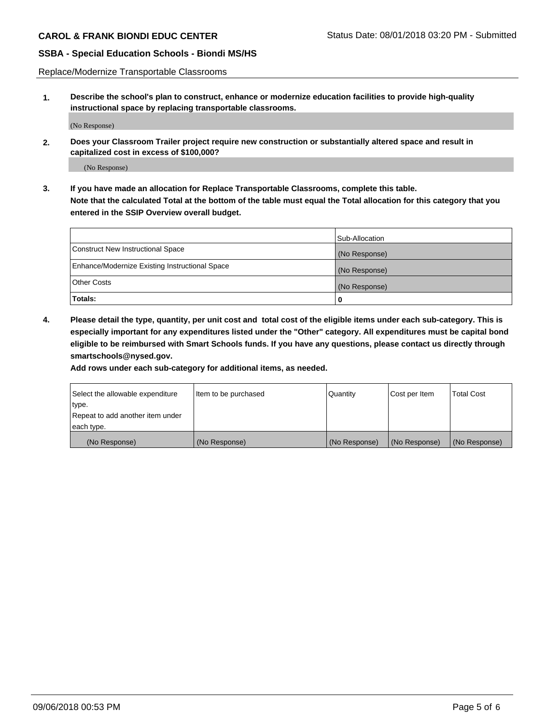Replace/Modernize Transportable Classrooms

**1. Describe the school's plan to construct, enhance or modernize education facilities to provide high-quality instructional space by replacing transportable classrooms.**

(No Response)

**2. Does your Classroom Trailer project require new construction or substantially altered space and result in capitalized cost in excess of \$100,000?**

(No Response)

**3. If you have made an allocation for Replace Transportable Classrooms, complete this table. Note that the calculated Total at the bottom of the table must equal the Total allocation for this category that you entered in the SSIP Overview overall budget.**

|                                                | Sub-Allocation |
|------------------------------------------------|----------------|
| Construct New Instructional Space              | (No Response)  |
| Enhance/Modernize Existing Instructional Space | (No Response)  |
| Other Costs                                    | (No Response)  |
| Totals:                                        | 0              |

**4. Please detail the type, quantity, per unit cost and total cost of the eligible items under each sub-category. This is especially important for any expenditures listed under the "Other" category. All expenditures must be capital bond eligible to be reimbursed with Smart Schools funds. If you have any questions, please contact us directly through smartschools@nysed.gov.**

**Add rows under each sub-category for additional items, as needed.**

| Select the allowable expenditure | Item to be purchased | Quantity      | Cost per Item | <b>Total Cost</b> |
|----------------------------------|----------------------|---------------|---------------|-------------------|
| 'type.                           |                      |               |               |                   |
| Repeat to add another item under |                      |               |               |                   |
| each type.                       |                      |               |               |                   |
| (No Response)                    | (No Response)        | (No Response) | (No Response) | (No Response)     |